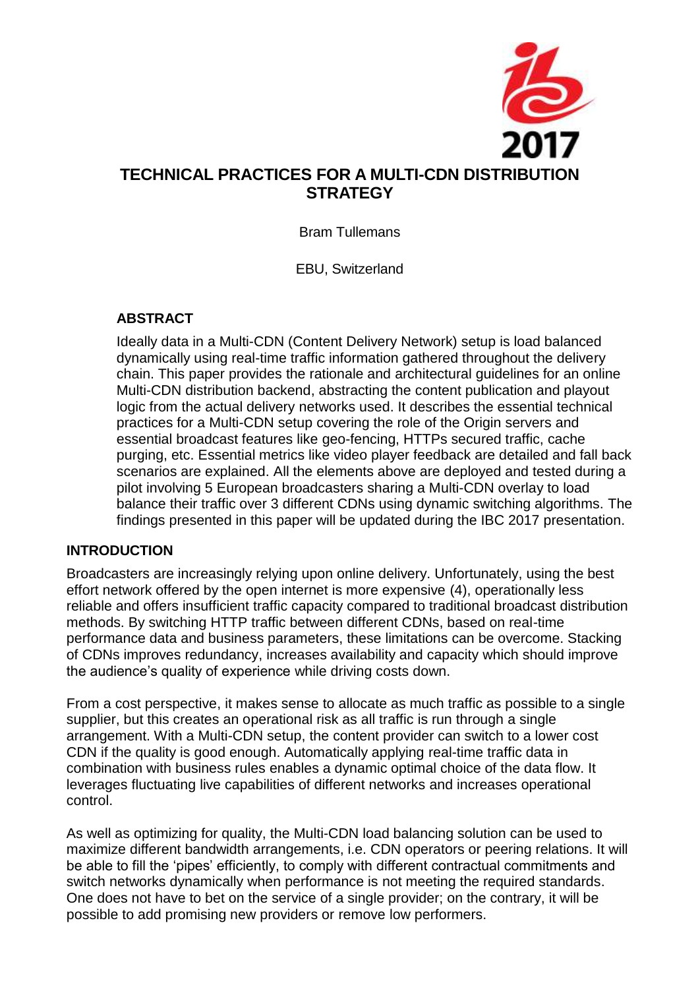

Bram Tullemans

EBU, Switzerland

## **ABSTRACT**

Ideally data in a Multi-CDN (Content Delivery Network) setup is load balanced dynamically using real-time traffic information gathered throughout the delivery chain. This paper provides the rationale and architectural guidelines for an online Multi-CDN distribution backend, abstracting the content publication and playout logic from the actual delivery networks used. It describes the essential technical practices for a Multi-CDN setup covering the role of the Origin servers and essential broadcast features like geo-fencing, HTTPs secured traffic, cache purging, etc. Essential metrics like video player feedback are detailed and fall back scenarios are explained. All the elements above are deployed and tested during a pilot involving 5 European broadcasters sharing a Multi-CDN overlay to load balance their traffic over 3 different CDNs using dynamic switching algorithms. The findings presented in this paper will be updated during the IBC 2017 presentation.

### **INTRODUCTION**

Broadcasters are increasingly relying upon online delivery. Unfortunately, using the best effort network offered by the open internet is more expensive (4), operationally less reliable and offers insufficient traffic capacity compared to traditional broadcast distribution methods. By switching HTTP traffic between different CDNs, based on real-time performance data and business parameters, these limitations can be overcome. Stacking of CDNs improves redundancy, increases availability and capacity which should improve the audience's quality of experience while driving costs down.

From a cost perspective, it makes sense to allocate as much traffic as possible to a single supplier, but this creates an operational risk as all traffic is run through a single arrangement. With a Multi-CDN setup, the content provider can switch to a lower cost CDN if the quality is good enough. Automatically applying real-time traffic data in combination with business rules enables a dynamic optimal choice of the data flow. It leverages fluctuating live capabilities of different networks and increases operational control.

As well as optimizing for quality, the Multi-CDN load balancing solution can be used to maximize different bandwidth arrangements, i.e. CDN operators or peering relations. It will be able to fill the 'pipes' efficiently, to comply with different contractual commitments and switch networks dynamically when performance is not meeting the required standards. One does not have to bet on the service of a single provider; on the contrary, it will be possible to add promising new providers or remove low performers.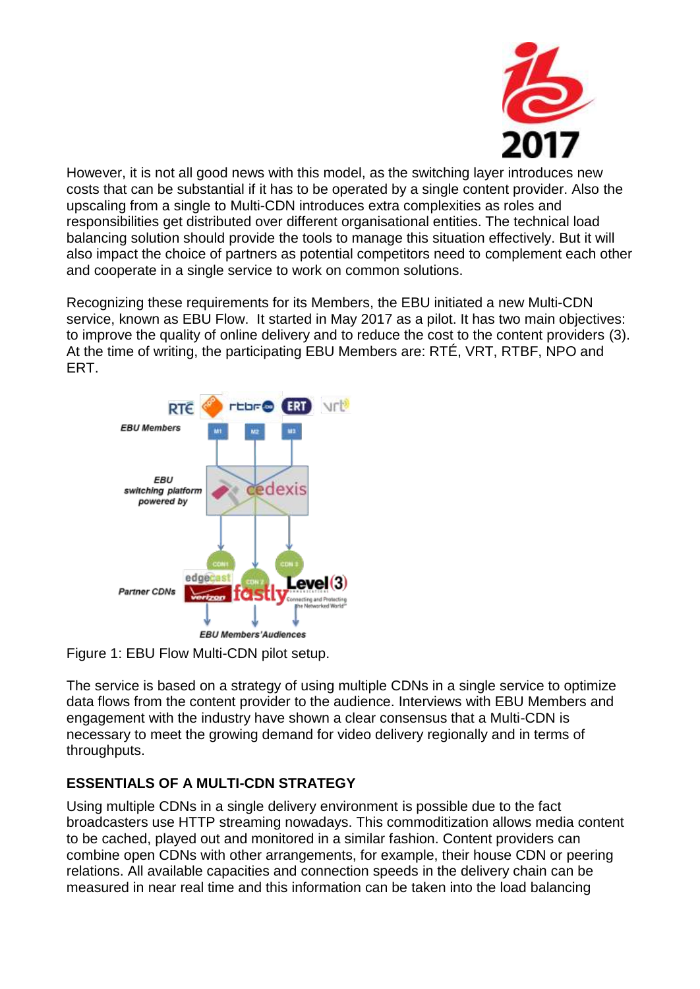

However, it is not all good news with this model, as the switching layer introduces new costs that can be substantial if it has to be operated by a single content provider. Also the upscaling from a single to Multi-CDN introduces extra complexities as roles and responsibilities get distributed over different organisational entities. The technical load balancing solution should provide the tools to manage this situation effectively. But it will also impact the choice of partners as potential competitors need to complement each other and cooperate in a single service to work on common solutions.

Recognizing these requirements for its Members, the EBU initiated a new Multi-CDN service, known as EBU Flow. It started in May 2017 as a pilot. It has two main objectives: to improve the quality of online delivery and to reduce the cost to the content providers (3). At the time of writing, the participating EBU Members are: RTÉ, VRT, RTBF, NPO and ERT.



Figure 1: EBU Flow Multi-CDN pilot setup.

The service is based on a strategy of using multiple CDNs in a single service to optimize data flows from the content provider to the audience. Interviews with EBU Members and engagement with the industry have shown a clear consensus that a Multi-CDN is necessary to meet the growing demand for video delivery regionally and in terms of throughputs.

# **ESSENTIALS OF A MULTI-CDN STRATEGY**

Using multiple CDNs in a single delivery environment is possible due to the fact broadcasters use HTTP streaming nowadays. This commoditization allows media content to be cached, played out and monitored in a similar fashion. Content providers can combine open CDNs with other arrangements, for example, their house CDN or peering relations. All available capacities and connection speeds in the delivery chain can be measured in near real time and this information can be taken into the load balancing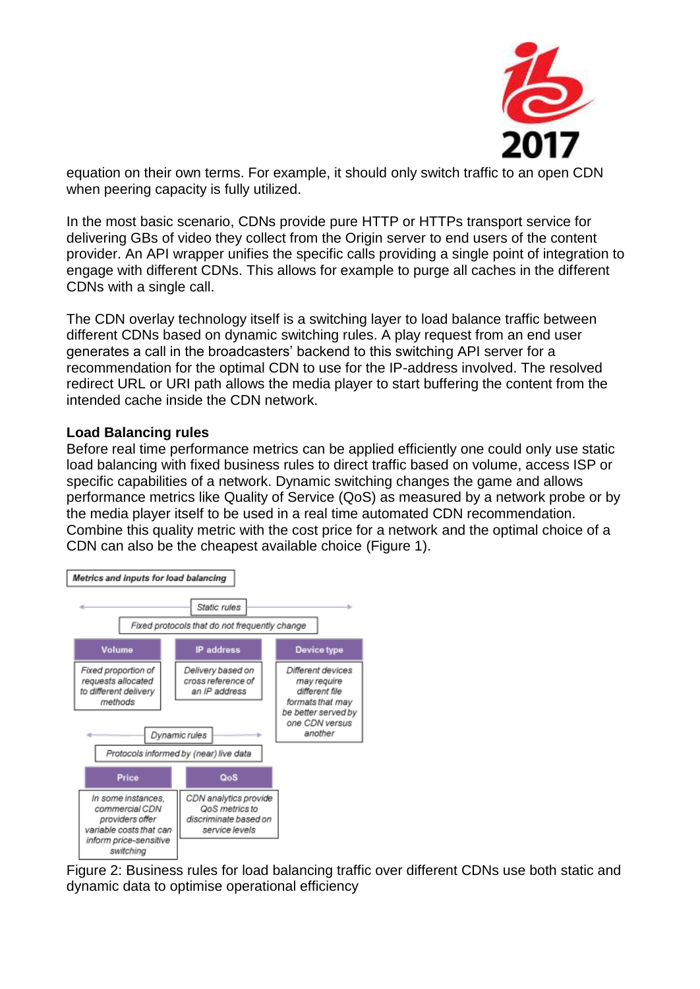

equation on their own terms. For example, it should only switch traffic to an open CDN when peering capacity is fully utilized.

In the most basic scenario, CDNs provide pure HTTP or HTTPs transport service for delivering GBs of video they collect from the Origin server to end users of the content provider. An API wrapper unifies the specific calls providing a single point of integration to engage with different CDNs. This allows for example to purge all caches in the different CDNs with a single call.

The CDN overlay technology itself is a switching layer to load balance traffic between different CDNs based on dynamic switching rules. A play request from an end user generates a call in the broadcasters' backend to this switching API server for a recommendation for the optimal CDN to use for the IP-address involved. The resolved redirect URL or URI path allows the media player to start buffering the content from the intended cache inside the CDN network.

#### **Load Balancing rules**

Before real time performance metrics can be applied efficiently one could only use static load balancing with fixed business rules to direct traffic based on volume, access ISP or specific capabilities of a network. Dynamic switching changes the game and allows performance metrics like Quality of Service (QoS) as measured by a network probe or by the media player itself to be used in a real time automated CDN recommendation. Combine this quality metric with the cost price for a network and the optimal choice of a CDN can also be the cheapest available choice (Figure 1).



Figure 2: Business rules for load balancing traffic over different CDNs use both static and dynamic data to optimise operational efficiency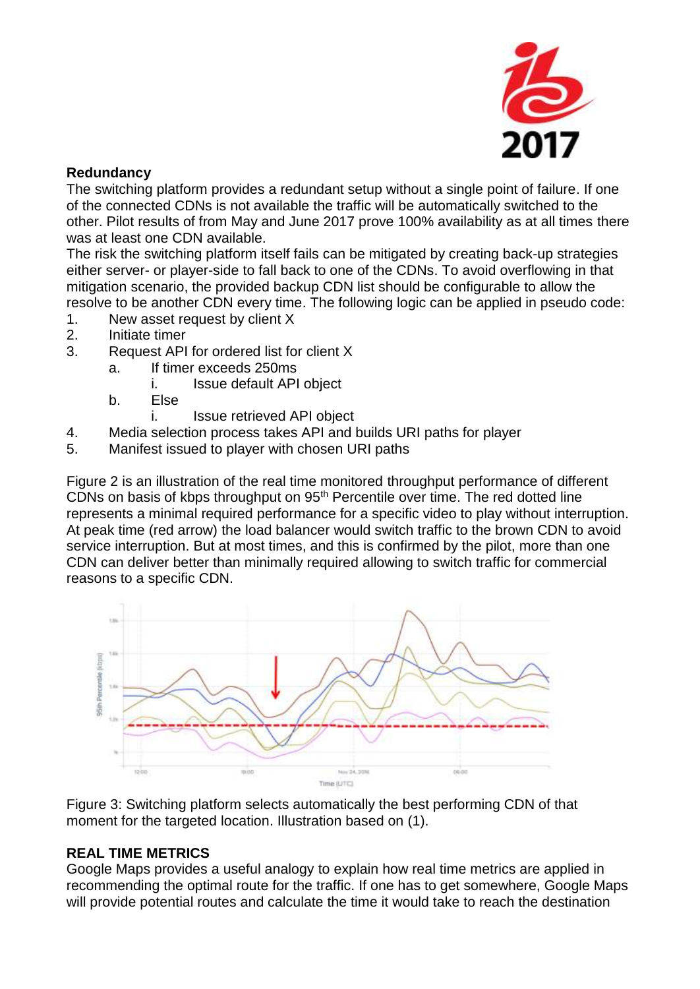

### **Redundancy**

The switching platform provides a redundant setup without a single point of failure. If one of the connected CDNs is not available the traffic will be automatically switched to the other. Pilot results of from May and June 2017 prove 100% availability as at all times there was at least one CDN available.

The risk the switching platform itself fails can be mitigated by creating back-up strategies either server- or player-side to fall back to one of the CDNs. To avoid overflowing in that mitigation scenario, the provided backup CDN list should be configurable to allow the resolve to be another CDN every time. The following logic can be applied in pseudo code:

- 1. New asset request by client X
- 2. Initiate timer
- 3. Request API for ordered list for client X
	- a. If timer exceeds 250ms
		- i. Issue default API object
	- b. Else
		- i. Issue retrieved API object
- 4. Media selection process takes API and builds URI paths for player
- 5. Manifest issued to player with chosen URI paths

Figure 2 is an illustration of the real time monitored throughput performance of different CDNs on basis of kbps throughput on 95th Percentile over time. The red dotted line represents a minimal required performance for a specific video to play without interruption. At peak time (red arrow) the load balancer would switch traffic to the brown CDN to avoid service interruption. But at most times, and this is confirmed by the pilot, more than one CDN can deliver better than minimally required allowing to switch traffic for commercial reasons to a specific CDN.



Figure 3: Switching platform selects automatically the best performing CDN of that moment for the targeted location. Illustration based on (1).

# **REAL TIME METRICS**

Google Maps provides a useful analogy to explain how real time metrics are applied in recommending the optimal route for the traffic. If one has to get somewhere, Google Maps will provide potential routes and calculate the time it would take to reach the destination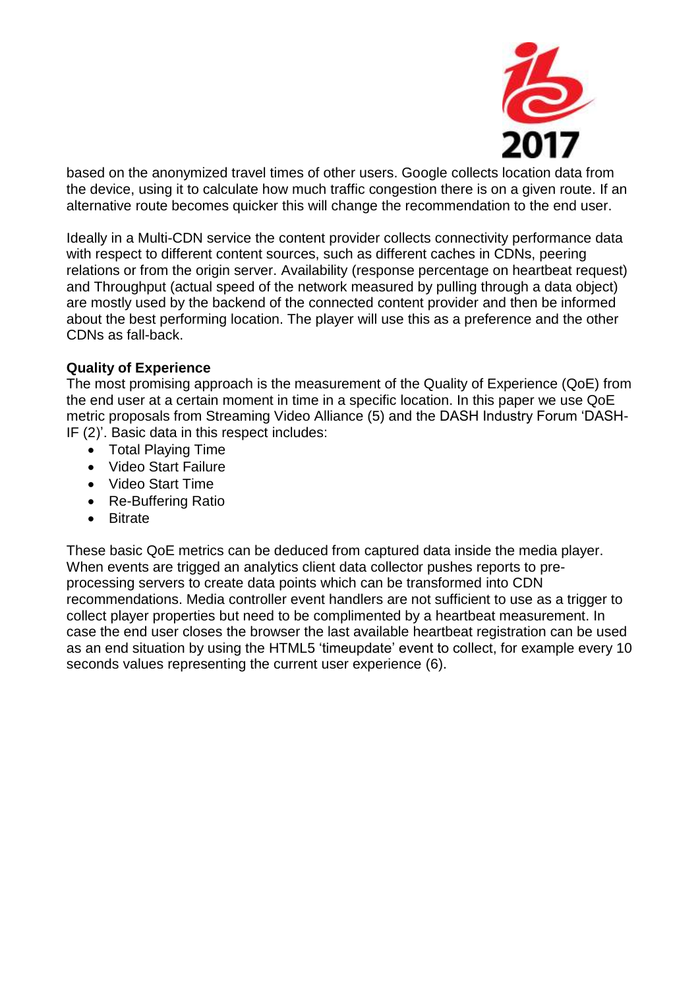

based on the anonymized travel times of other users. Google collects location data from the device, using it to calculate how much traffic congestion there is on a given route. If an alternative route becomes quicker this will change the recommendation to the end user.

Ideally in a Multi-CDN service the content provider collects connectivity performance data with respect to different content sources, such as different caches in CDNs, peering relations or from the origin server. Availability (response percentage on heartbeat request) and Throughput (actual speed of the network measured by pulling through a data object) are mostly used by the backend of the connected content provider and then be informed about the best performing location. The player will use this as a preference and the other CDNs as fall-back.

### **Quality of Experience**

The most promising approach is the measurement of the Quality of Experience (QoE) from the end user at a certain moment in time in a specific location. In this paper we use QoE metric proposals from Streaming Video Alliance (5) and the DASH Industry Forum 'DASH-IF (2)'. Basic data in this respect includes:

- Total Playing Time
- Video Start Failure
- Video Start Time
- Re-Buffering Ratio
- Bitrate

These basic QoE metrics can be deduced from captured data inside the media player. When events are trigged an analytics client data collector pushes reports to preprocessing servers to create data points which can be transformed into CDN recommendations. Media controller event handlers are not sufficient to use as a trigger to collect player properties but need to be complimented by a heartbeat measurement. In case the end user closes the browser the last available heartbeat registration can be used as an end situation by using the HTML5 'timeupdate' event to collect, for example every 10 seconds values representing the current user experience (6).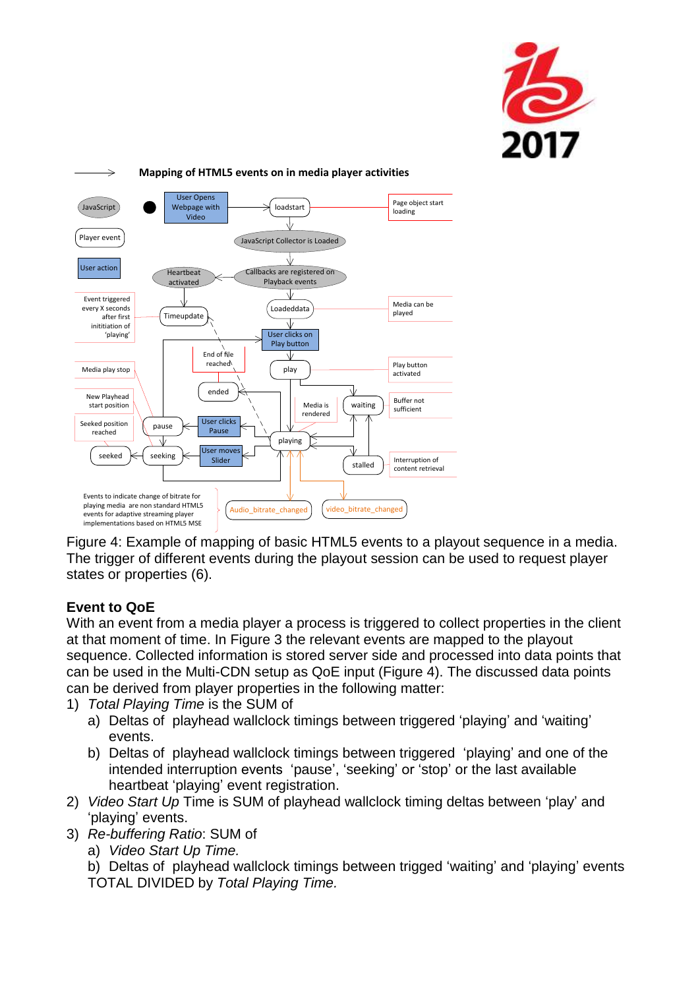



Figure 4: Example of mapping of basic HTML5 events to a playout sequence in a media. The trigger of different events during the playout session can be used to request player states or properties (6).

# **Event to QoE**

With an event from a media player a process is triggered to collect properties in the client at that moment of time. In Figure 3 the relevant events are mapped to the playout sequence. Collected information is stored server side and processed into data points that can be used in the Multi-CDN setup as QoE input (Figure 4). The discussed data points can be derived from player properties in the following matter:

1) *Total Playing Time* is the SUM of

- a) Deltas of playhead wallclock timings between triggered 'playing' and 'waiting' events.
- b) Deltas of playhead wallclock timings between triggered 'playing' and one of the intended interruption events 'pause', 'seeking' or 'stop' or the last available heartbeat 'playing' event registration.
- 2) *Video Start Up* Time is SUM of playhead wallclock timing deltas between 'play' and 'playing' events.
- 3) *Re-buffering Ratio*: SUM of
	- a) *Video Start Up Time.*

b) Deltas of playhead wallclock timings between trigged 'waiting' and 'playing' events TOTAL DIVIDED by *Total Playing Time.*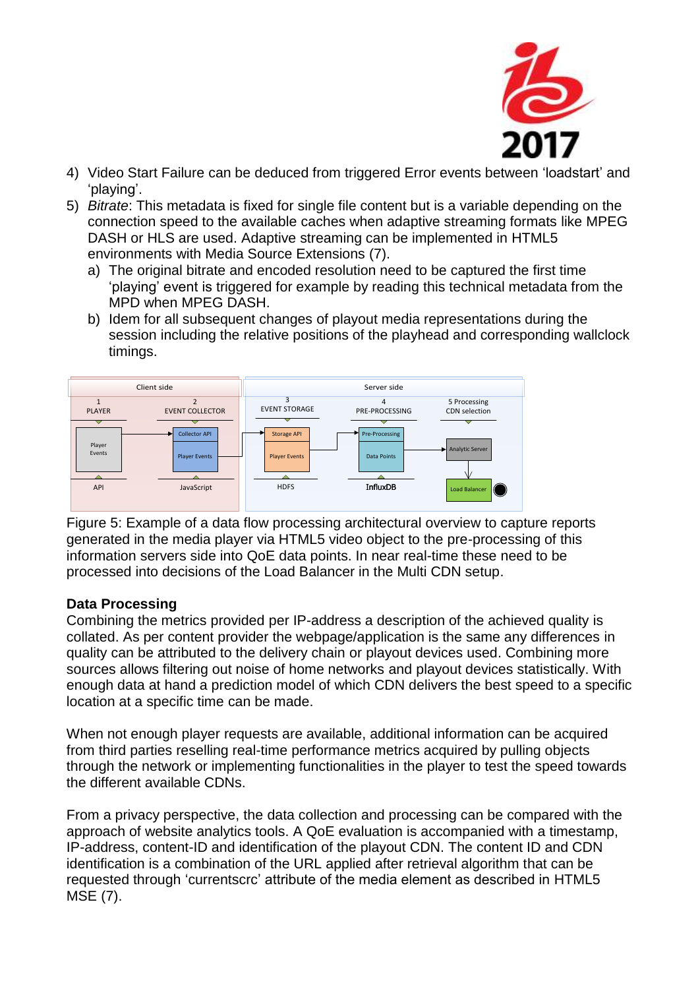

- 4) Video Start Failure can be deduced from triggered Error events between 'loadstart' and 'playing'.
- 5) *Bitrate*: This metadata is fixed for single file content but is a variable depending on the connection speed to the available caches when adaptive streaming formats like MPEG DASH or HLS are used. Adaptive streaming can be implemented in HTML5 environments with Media Source Extensions (7).
	- a) The original bitrate and encoded resolution need to be captured the first time 'playing' event is triggered for example by reading this technical metadata from the MPD when MPEG DASH.
	- b) Idem for all subsequent changes of playout media representations during the session including the relative positions of the playhead and corresponding wallclock timings.



Figure 5: Example of a data flow processing architectural overview to capture reports generated in the media player via HTML5 video object to the pre-processing of this information servers side into QoE data points. In near real-time these need to be processed into decisions of the Load Balancer in the Multi CDN setup.

#### **Data Processing**

Combining the metrics provided per IP-address a description of the achieved quality is collated. As per content provider the webpage/application is the same any differences in quality can be attributed to the delivery chain or playout devices used. Combining more sources allows filtering out noise of home networks and playout devices statistically. With enough data at hand a prediction model of which CDN delivers the best speed to a specific location at a specific time can be made.

When not enough player requests are available, additional information can be acquired from third parties reselling real-time performance metrics acquired by pulling objects through the network or implementing functionalities in the player to test the speed towards the different available CDNs.

From a privacy perspective, the data collection and processing can be compared with the approach of website analytics tools. A QoE evaluation is accompanied with a timestamp, IP-address, content-ID and identification of the playout CDN. The content ID and CDN identification is a combination of the URL applied after retrieval algorithm that can be requested through 'currentscrc' attribute of the media element as described in HTML5 MSE (7).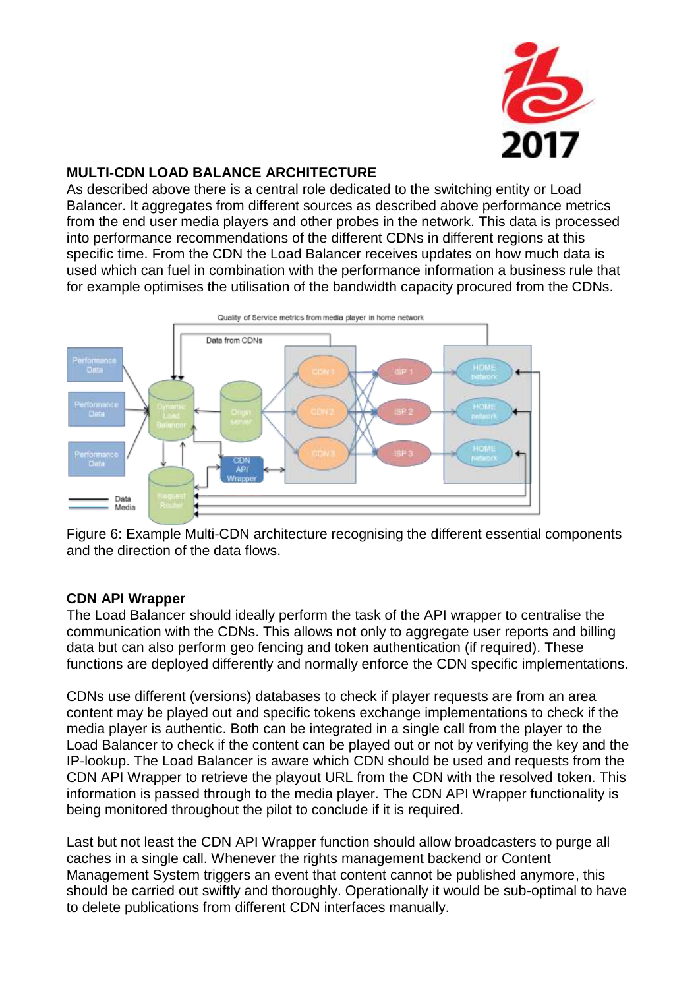

## **MULTI-CDN LOAD BALANCE ARCHITECTURE**

As described above there is a central role dedicated to the switching entity or Load Balancer. It aggregates from different sources as described above performance metrics from the end user media players and other probes in the network. This data is processed into performance recommendations of the different CDNs in different regions at this specific time. From the CDN the Load Balancer receives updates on how much data is used which can fuel in combination with the performance information a business rule that for example optimises the utilisation of the bandwidth capacity procured from the CDNs.



Figure 6: Example Multi-CDN architecture recognising the different essential components and the direction of the data flows.

### **CDN API Wrapper**

The Load Balancer should ideally perform the task of the API wrapper to centralise the communication with the CDNs. This allows not only to aggregate user reports and billing data but can also perform geo fencing and token authentication (if required). These functions are deployed differently and normally enforce the CDN specific implementations.

CDNs use different (versions) databases to check if player requests are from an area content may be played out and specific tokens exchange implementations to check if the media player is authentic. Both can be integrated in a single call from the player to the Load Balancer to check if the content can be played out or not by verifying the key and the IP-lookup. The Load Balancer is aware which CDN should be used and requests from the CDN API Wrapper to retrieve the playout URL from the CDN with the resolved token. This information is passed through to the media player. The CDN API Wrapper functionality is being monitored throughout the pilot to conclude if it is required.

Last but not least the CDN API Wrapper function should allow broadcasters to purge all caches in a single call. Whenever the rights management backend or Content Management System triggers an event that content cannot be published anymore, this should be carried out swiftly and thoroughly. Operationally it would be sub-optimal to have to delete publications from different CDN interfaces manually.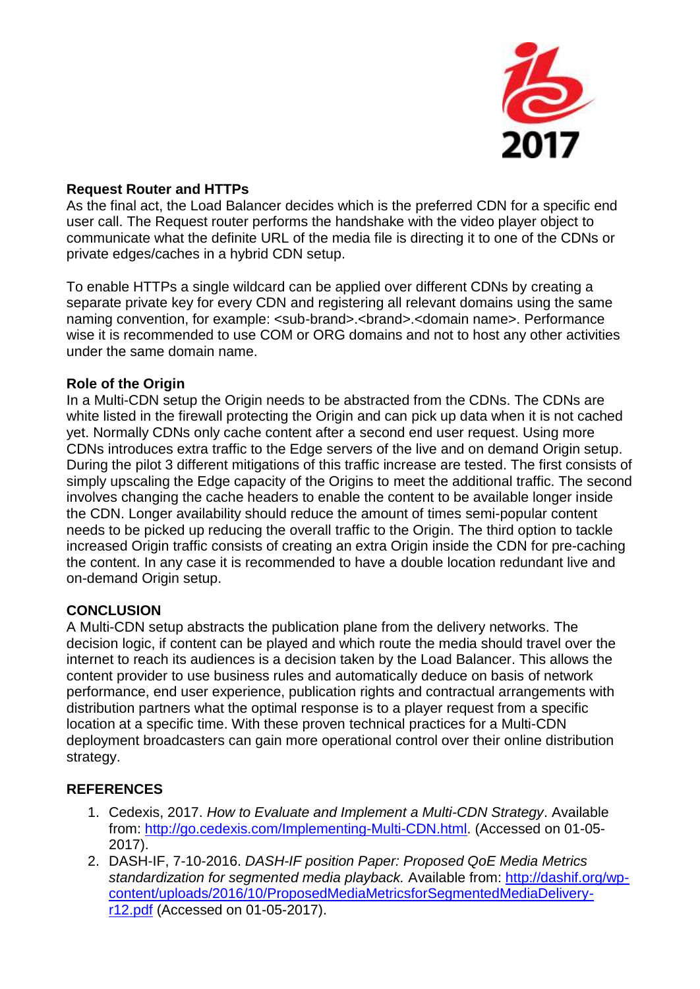

### **Request Router and HTTPs**

As the final act, the Load Balancer decides which is the preferred CDN for a specific end user call. The Request router performs the handshake with the video player object to communicate what the definite URL of the media file is directing it to one of the CDNs or private edges/caches in a hybrid CDN setup.

To enable HTTPs a single wildcard can be applied over different CDNs by creating a separate private key for every CDN and registering all relevant domains using the same naming convention, for example: <sub-brand>.<brand>.<domain name>. Performance wise it is recommended to use COM or ORG domains and not to host any other activities under the same domain name.

### **Role of the Origin**

In a Multi-CDN setup the Origin needs to be abstracted from the CDNs. The CDNs are white listed in the firewall protecting the Origin and can pick up data when it is not cached yet. Normally CDNs only cache content after a second end user request. Using more CDNs introduces extra traffic to the Edge servers of the live and on demand Origin setup. During the pilot 3 different mitigations of this traffic increase are tested. The first consists of simply upscaling the Edge capacity of the Origins to meet the additional traffic. The second involves changing the cache headers to enable the content to be available longer inside the CDN. Longer availability should reduce the amount of times semi-popular content needs to be picked up reducing the overall traffic to the Origin. The third option to tackle increased Origin traffic consists of creating an extra Origin inside the CDN for pre-caching the content. In any case it is recommended to have a double location redundant live and on-demand Origin setup.

### **CONCLUSION**

A Multi-CDN setup abstracts the publication plane from the delivery networks. The decision logic, if content can be played and which route the media should travel over the internet to reach its audiences is a decision taken by the Load Balancer. This allows the content provider to use business rules and automatically deduce on basis of network performance, end user experience, publication rights and contractual arrangements with distribution partners what the optimal response is to a player request from a specific location at a specific time. With these proven technical practices for a Multi-CDN deployment broadcasters can gain more operational control over their online distribution strategy.

### **REFERENCES**

- 1. Cedexis, 2017. *How to Evaluate and Implement a Multi-CDN Strategy*. Available from: [http://go.cedexis.com/Implementing-Multi-CDN.html.](http://go.cedexis.com/Implementing-Multi-CDN.html) (Accessed on 01-05- 2017).
- 2. DASH-IF, 7-10-2016. *DASH-IF position Paper: Proposed QoE Media Metrics standardization for segmented media playback.* Available from: [http://dashif.org/wp](http://dashif.org/wp-content/uploads/2016/10/ProposedMediaMetricsforSegmentedMediaDelivery-r12.pdf)[content/uploads/2016/10/ProposedMediaMetricsforSegmentedMediaDelivery](http://dashif.org/wp-content/uploads/2016/10/ProposedMediaMetricsforSegmentedMediaDelivery-r12.pdf)[r12.pdf](http://dashif.org/wp-content/uploads/2016/10/ProposedMediaMetricsforSegmentedMediaDelivery-r12.pdf) (Accessed on 01-05-2017).